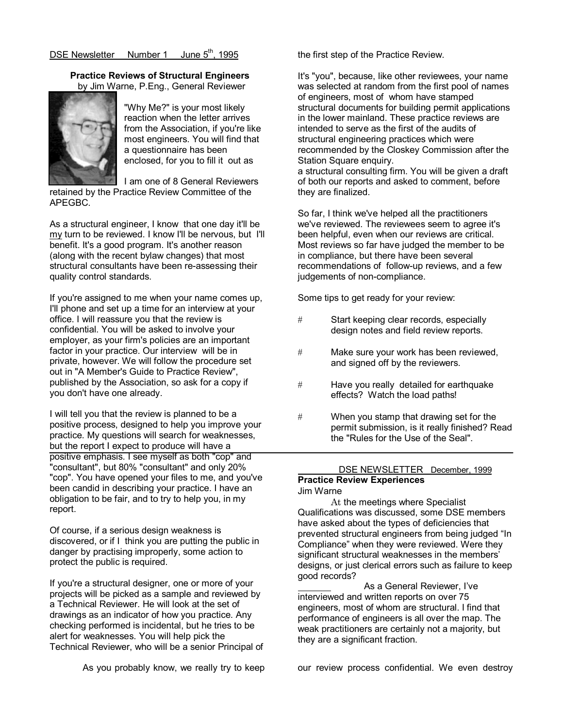## Practice Reviews of Structural Engineers by Jim Warne, P.Eng., General Reviewer



"Why Me?" is your most likely reaction when the letter arrives from the Association, if you're like most engineers. You will find that a questionnaire has been enclosed, for you to fill it out as

I am one of 8 General Reviewers retained by the Practice Review Committee of the APEGBC.

As a structural engineer, I know that one day it'll be my turn to be reviewed. I know I'll be nervous, but I'll benefit. It's a good program. It's another reason (along with the recent bylaw changes) that most structural consultants have been re-assessing their quality control standards.

If you're assigned to me when your name comes up, I'll phone and set up a time for an interview at your office. I will reassure you that the review is confidential. You will be asked to involve your employer, as your firm's policies are an important factor in your practice. Our interview will be in private, however. We will follow the procedure set out in "A Member's Guide to Practice Review", published by the Association, so ask for a copy if you don't have one already.

I will tell you that the review is planned to be a positive process, designed to help you improve your practice. My questions will search for weaknesses, but the report I expect to produce will have a positive emphasis. I see myself as both "cop" and "consultant", but 80% "consultant" and only 20% "cop". You have opened your files to me, and you've been candid in describing your practice. I have an obligation to be fair, and to try to help you, in my report.

Of course, if a serious design weakness is discovered, or if I think you are putting the public in danger by practising improperly, some action to protect the public is required.

If you're a structural designer, one or more of your projects will be picked as a sample and reviewed by a Technical Reviewer. He will look at the set of drawings as an indicator of how you practice. Any checking performed is incidental, but he tries to be alert for weaknesses. You will help pick the Technical Reviewer, who will be a senior Principal of

the first step of the Practice Review.

It's "you", because, like other reviewees, your name was selected at random from the first pool of names of engineers, most of whom have stamped structural documents for building permit applications in the lower mainland. These practice reviews are intended to serve as the first of the audits of structural engineering practices which were recommended by the Closkey Commission after the Station Square enquiry. a structural consulting firm. You will be given a draft

of both our reports and asked to comment, before they are finalized.

So far, I think we've helped all the practitioners we've reviewed. The reviewees seem to agree it's been helpful, even when our reviews are critical. Most reviews so far have judged the member to be in compliance, but there have been several recommendations of follow-up reviews, and a few judgements of non-compliance.

Some tips to get ready for your review:

- # Start keeping clear records, especially design notes and field review reports.
- # Make sure your work has been reviewed, and signed off by the reviewers.
- # Have you really detailed for earthquake effects? Watch the load paths!
- # When you stamp that drawing set for the permit submission, is it really finished? Read the "Rules for the Use of the Seal".

### DSE NEWSLETTER December, 1999 Practice Review Experiences Jim Warne

 At the meetings where Specialist Qualifications was discussed, some DSE members have asked about the types of deficiencies that prevented structural engineers from being judged "In Compliance" when they were reviewed. Were they significant structural weaknesses in the members' designs, or just clerical errors such as failure to keep good records?

 As a General Reviewer, I've interviewed and written reports on over 75 engineers, most of whom are structural. I find that performance of engineers is all over the map. The weak practitioners are certainly not a majority, but they are a significant fraction.

As you probably know, we really try to keep our review process confidential. We even destroy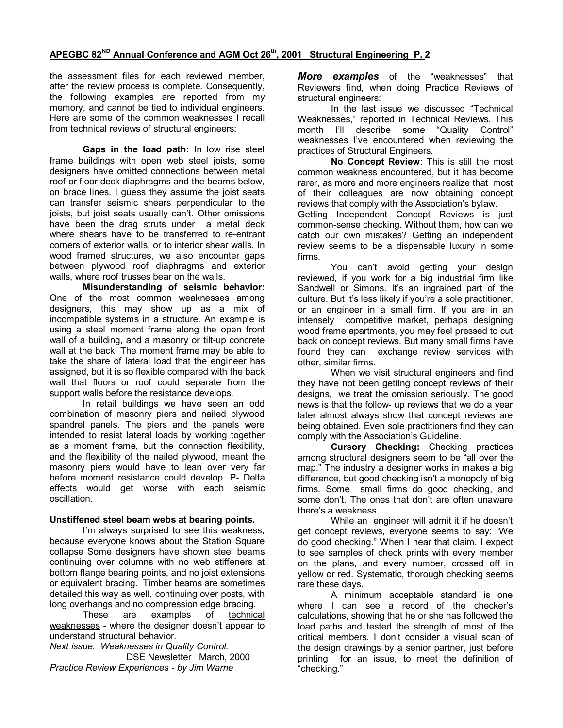the assessment files for each reviewed member, after the review process is complete. Consequently, the following examples are reported from my memory, and cannot be tied to individual engineers. Here are some of the common weaknesses I recall from technical reviews of structural engineers:

Gaps in the load path: In low rise steel frame buildings with open web steel joists, some designers have omitted connections between metal roof or floor deck diaphragms and the beams below, on brace lines. I guess they assume the joist seats can transfer seismic shears perpendicular to the joists, but joist seats usually can't. Other omissions have been the drag struts under a metal deck where shears have to be transferred to re-entrant corners of exterior walls, or to interior shear walls. In wood framed structures, we also encounter gaps between plywood roof diaphragms and exterior walls, where roof trusses bear on the walls.

Misunderstanding of seismic behavior: One of the most common weaknesses among designers, this may show up as a mix of incompatible systems in a structure. An example is using a steel moment frame along the open front wall of a building, and a masonry or tilt-up concrete wall at the back. The moment frame may be able to take the share of lateral load that the engineer has assigned, but it is so flexible compared with the back wall that floors or roof could separate from the support walls before the resistance develops.

 In retail buildings we have seen an odd combination of masonry piers and nailed plywood spandrel panels. The piers and the panels were intended to resist lateral loads by working together as a moment frame, but the connection flexibility, and the flexibility of the nailed plywood, meant the masonry piers would have to lean over very far before moment resistance could develop. P- Delta effects would get worse with each seismic oscillation.

## Unstiffened steel beam webs at bearing points.

 I'm always surprised to see this weakness, because everyone knows about the Station Square collapse Some designers have shown steel beams continuing over columns with no web stiffeners at bottom flange bearing points, and no joist extensions or equivalent bracing. Timber beams are sometimes detailed this way as well, continuing over posts, with long overhangs and no compression edge bracing.

 These are examples of technical weaknesses - where the designer doesn't appear to understand structural behavior.

Next issue: Weaknesses in Quality Control. DSE Newsletter March, 2000 Practice Review Experiences - by Jim Warne

More examples of the "weaknesses" that Reviewers find, when doing Practice Reviews of structural engineers:

 In the last issue we discussed "Technical Weaknesses," reported in Technical Reviews. This month I'll describe some "Quality Control" weaknesses I've encountered when reviewing the practices of Structural Engineers.

 No Concept Review: This is still the most common weakness encountered, but it has become rarer, as more and more engineers realize that most of their colleagues are now obtaining concept reviews that comply with the Association's bylaw. Getting Independent Concept Reviews is just

common-sense checking. Without them, how can we catch our own mistakes? Getting an independent review seems to be a dispensable luxury in some firms.

 You can't avoid getting your design reviewed, if you work for a big industrial firm like Sandwell or Simons. It's an ingrained part of the culture. But it's less likely if you're a sole practitioner, or an engineer in a small firm. If you are in an intensely competitive market, perhaps designing wood frame apartments, you may feel pressed to cut back on concept reviews. But many small firms have found they can exchange review services with other, similar firms.

When we visit structural engineers and find they have not been getting concept reviews of their designs, we treat the omission seriously. The good news is that the follow- up reviews that we do a year later almost always show that concept reviews are being obtained. Even sole practitioners find they can comply with the Association's Guideline.

Cursory Checking: Checking practices among structural designers seem to be "all over the map." The industry a designer works in makes a big difference, but good checking isn't a monopoly of big firms. Some small firms do good checking, and some don't. The ones that don't are often unaware there's a weakness.

 While an engineer will admit it if he doesn't get concept reviews, everyone seems to say: "We do good checking." When I hear that claim, I expect to see samples of check prints with every member on the plans, and every number, crossed off in yellow or red. Systematic, thorough checking seems rare these days.

 A minimum acceptable standard is one where I can see a record of the checker's calculations, showing that he or she has followed the load paths and tested the strength of most of the critical members. I don't consider a visual scan of the design drawings by a senior partner, just before printing for an issue, to meet the definition of "checking."